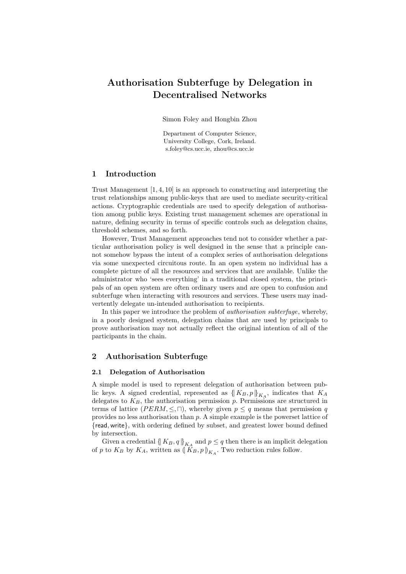# Authorisation Subterfuge by Delegation in Decentralised Networks

Simon Foley and Hongbin Zhou

Department of Computer Science, University College, Cork, Ireland. s.foley@cs.ucc.ie, zhou@cs.ucc.ie

## 1 Introduction

Trust Management [1, 4, 10] is an approach to constructing and interpreting the trust relationships among public-keys that are used to mediate security-critical actions. Cryptographic credentials are used to specify delegation of authorisation among public keys. Existing trust management schemes are operational in nature, defining security in terms of specific controls such as delegation chains, threshold schemes, and so forth.

However, Trust Management approaches tend not to consider whether a particular authorisation policy is well designed in the sense that a principle cannot somehow bypass the intent of a complex series of authorisation delegations via some unexpected circuitous route. In an open system no individual has a complete picture of all the resources and services that are available. Unlike the administrator who 'sees everything' in a traditional closed system, the principals of an open system are often ordinary users and are open to confusion and subterfuge when interacting with resources and services. These users may inadvertently delegate un-intended authorisation to recipients.

In this paper we introduce the problem of authorisation subterfuge, whereby, in a poorly designed system, delegation chains that are used by principals to prove authorisation may not actually reflect the original intention of all of the participants in the chain.

## 2 Authorisation Subterfuge

#### 2.1 Delegation of Authorisation

A simple model is used to represent delegation of authorisation between public keys. A signed credential, represented as  $\left\{K_B, p\right\}_{K_A}$ , indicates that  $K_A$ delegates to  $K_B$ , the authorisation permission p. Permissions are structured in terms of lattice (PERM,  $\leq$ ,  $\sqcap$ ), whereby given  $p \leq q$  means that permission q provides no less authorisation than  $p$ . A simple example is the powerset lattice of {read,write}, with ordering defined by subset, and greatest lower bound defined by intersection.

Given a credential  $\left\{ K_{B}, q \right\}_{K_{A}}$  and  $p \leq q$  then there is an implicit delegation of p to  $K_B$  by  $K_A$ , written as  $(K_B, p)_{K_A}$ . Two reduction rules follow.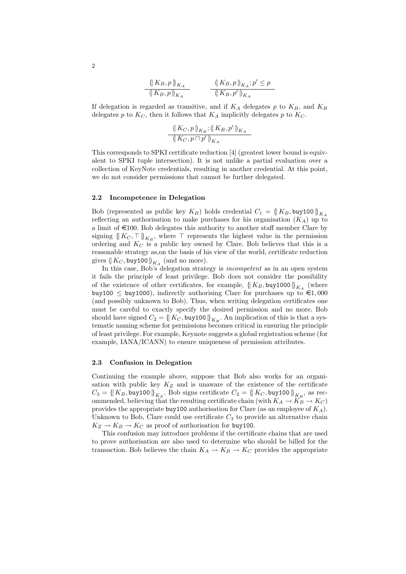$$
\frac{\{\n\{K_B, p\}_{K_A}}{\n\{K_B, p\}_{K_A}} \qquad \frac{\{\nK_B, p\}_{K_A}; p' \le p}{\n\sqrt{\{K_B, p'\}_{K_A}}}
$$

If delegation is regarded as transitive, and if  $K_A$  delegates p to  $K_B$ , and  $K_B$ delegates p to  $K_C$ , then it follows that  $K_A$  implicitly delegates p to  $K_C$ .

$$
\frac{(\|K_C,p\,\|_{K_B};\|\,K_B,p'\,\|_{K_A}}{(\,\|K_C,p\sqcap p'\,\|_{K_A}}
$$

This corresponds to SPKI certificate reduction [4] (greatest lower bound is equivalent to SPKI tuple intersection). It is not unlike a partial evaluation over a collection of KeyNote credentials, resulting in another credential. At this point, we do not consider permissions that cannot be further delegated.

#### 2.2 Incompetence in Delegation

Bob (represented as public key  $K_B$ ) holds credential  $C_1 = \{K_B, \text{buy100}\}_{K_A}$ reflecting an authorisation to make purchases for his organisation  $(K_A)$  up to a limit of  $\in$ 100. Bob delegates this authority to another staff member Clare by signing  $\{K_C, \top \}_{K_B}$ , where  $\top$  represents the highest value in the permission ordering and  $K_C$  is a public key owned by Clare. Bob believes that this is a reasonable strategy as,on the basis of his view of the world, certificate reduction gives  $(K_C, \text{buy100})_{K_A}$  (and no more).

In this case, Bob's delegation strategy is *incompetent* as in an open system it fails the principle of least privilege. Bob does not consider the possibility of the existence of other certificates, for example,  $\{K_B, \text{buy1000}\}_{K_A}$  (where buy100  $\leq$  buy1000), indirectly authorising Clare for purchases up to  $\epsilon$ 1,000 (and possibly unknown to Bob). Thus, when writing delegation certificates one must be careful to exactly specify the desired permission and no more. Bob should have signed  $C_2 = \{K_C, \text{buy100}\}_{K_B}$ . An implication of this is that a systematic naming scheme for permissions becomes critical in ensuring the principle of least privilege. For example, Keynote suggests a global registration scheme (for example, IANA/ICANN) to ensure uniqueness of permission attributes.

#### 2.3 Confusion in Delegation

Continuing the example above, suppose that Bob also works for an organisation with public key  $K_Z$  and is unaware of the existence of the certificate  $C_3 = \left\{ \left\vert K_B, \text{buy100} \right\vert \right\}_{K_Z}$ . Bob signs certificate  $C_2 = \left\{ \left\vert K_C, \text{buy100} \right\vert \right\}_{K_B}$ , as recommended, believing that the resulting certificate chain (with  $K_A \to \overline{K_B} \to K_C$ ) provides the appropriate buy100 authorisation for Clare (as an employee of  $K_A$ ). Unknown to Bob, Clare could use certificate  $C_3$  to provide an alternative chain  $K_Z \rightarrow K_B \rightarrow K_C$  as proof of authorisation for buy100.

This confusion may introduce problems if the certificate chains that are used to prove authorisation are also used to determine who should be billed for the transaction. Bob believes the chain  $K_A \to K_B \to K_C$  provides the appropriate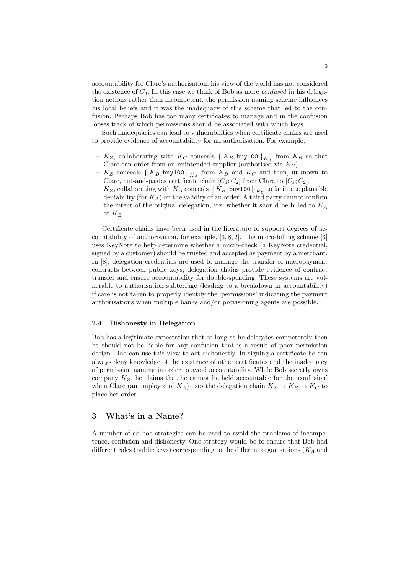accountability for Clare's authorisation; his view of the world has not considered the existence of  $C_3$ . In this case we think of Bob as more *confused* in his delegation actions rather than incompetent; the permission naming scheme influences his local beliefs and it was the inadequacy of this scheme that led to the confusion. Perhaps Bob has too many certificates to manage and in the confusion looses track of which permissions should be associated with which keys.

Such inadequacies can lead to vulnerabilities when certificate chains are used to provide evidence of accountability for an authorisation. For example,

- $K_Z$ , collaborating with  $K_C$  conceals  $\left\{K_B, \text{buy100}\right\}_{K_Z}$  from  $K_B$  so that Clare can order from an unintended supplier (authorised via  $K_Z$ ).
- $K_Z$  conceals  $\left\{ \left| K_B, \text{buy100} \right| \right\} _{K_Z}$  from  $K_B$  and  $K_C$  and then, unknown to Clare, cut-and-pastes certificate chain  $[C_1; C_2]$  from Clare to  $[C_3; C_2]$ .
- $K_Z$ , collaborating with  $K_A$  conceals  $\left\{K_B, \text{buy100}\right\}_{K_Z}$  to facilitate plausible deniability (for  $K_A$ ) on the validity of an order. A third party cannot confirm the intent of the original delegation, viz, whether it should be billed to  $K_A$ or  $K_Z$ .

Certificate chains have been used in the literature to support degrees of accountability of authorisation, for example, [3, 8, 2]. The micro-billing scheme [3] uses KeyNote to help determine whether a micro-check (a KeyNote credential, signed by a customer) should be trusted and accepted as payment by a merchant. In [8], delegation credentials are used to manage the transfer of micropayment contracts between public keys; delegation chains provide evidence of contract transfer and ensure accountability for double-spending. These systems are vulnerable to authorisation subterfuge (leading to a breakdown in accountability) if care is not taken to properly identify the 'permissions' indicating the payment authorisations when multiple banks and/or provisioning agents are possible.

#### 2.4 Dishonesty in Delegation

Bob has a legitimate expectation that so long as he delegates competently then he should not be liable for any confusion that is a result of poor permission design. Bob can use this view to act dishonestly. In signing a certificate he can always deny knowledge of the existence of other certificates and the inadequacy of permission naming in order to avoid accountability. While Bob secretly owns company  $K_Z$ , he claims that he cannot be held accountable for the 'confusion' when Clare (an employee of  $K_A$ ) uses the delegation chain  $K_Z \to K_B \to K_C$  to place her order.

## 3 What's in a Name?

A number of ad-hoc strategies can be used to avoid the problems of incompetence, confusion and dishonesty. One strategy would be to ensure that Bob had different roles (public keys) corresponding to the different organisations  $(K_A)$  and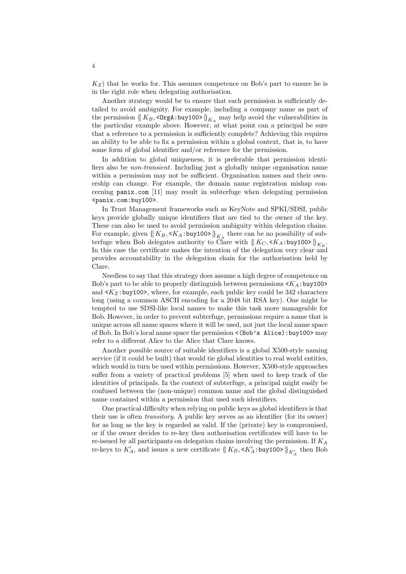$K_Z$ ) that he works for. This assumes competence on Bob's part to ensure he is in the right role when delegating authorisation.

Another strategy would be to ensure that each permission is sufficiently detailed to avoid ambiguity. For example, including a company name as part of the permission  $\left\{ K_{B},\text{<}\text{OrgA:}$  buy100>  $\right\} _{KA}$  may help avoid the vulnerabilities in the particular example above. However, at what point can a principal be sure that a reference to a permission is sufficiently complete? Achieving this requires an ability to be able to fix a permission within a global context, that is, to have some form of global identifier and/or reference for the permission.

In addition to global uniqueness, it is preferable that permission identifiers also be non-transient. Including just a globally unique organisation name within a permission may not be sufficient. Organisation names and their ownership can change. For example, the domain name registration mishap concerning panix.com [11] may result in subterfuge when delegating permission <panix.com:buy100>.

In Trust Management frameworks such as KeyNote and SPKI/SDSI, public keys provide globally unique identifiers that are tied to the owner of the key. These can also be used to avoid permission ambiguity within delegation chains. For example, given  $\left\{ \left| K_B, \leq K_A : \text{buy100} \right\rangle \right\}_{K_A}$  there can be no possibility of subterfuge when Bob delegates authority to Clare with  $\left\{K_C, \langle K_A : \text{buy100>}\right\}_{K_B}$ . In this case the certificate makes the intention of the delegation very clear and provides accountability in the delegation chain for the authorisation held by Clare.

Needless to say that this strategy does assume a high degree of competence on Bob's part to be able to properly distinguish between permissions  $\langle K_A:$  buy100> and  $\langle K_Z: \text{buy100} \rangle$ , where, for example, each public key could be 342 characters long (using a common ASCII encoding for a 2048 bit RSA key). One might be tempted to use SDSI-like local names to make this task more manageable for Bob. However, in order to prevent subterfuge, permissions require a name that is unique across all name spaces where it will be used, not just the local name space of Bob. In Bob's local name space the permission <(Bob's Alice):buy100> may refer to a different Alice to the Alice that Clare knows.

Another possible source of suitable identifiers is a global X500-style naming service (if it could be built) that would tie global identities to real world entities, which would in turn be used within permissions. However, X500-style approaches suffer from a variety of practical problems [5] when used to keep track of the identities of principals. In the context of subterfuge, a principal might easily be confused between the (non-unique) common name and the global distinguished name contained within a permission that used such identifiers.

One practical difficulty when relying on public keys as global identifiers is that their use is often transitory. A public key serves as an identifier (for its owner) for as long as the key is regarded as valid. If the (private) key is compromised, or if the owner decides to re-key then authorisation certificates will have to be re-issued by all participants on delegation chains involving the permission. If  $K_A$ re-keys to  $K'_A$ , and issues a new certificate  $\{K_B, \le K'_A :$ buy100> $\}_{K'_A}$  then Bob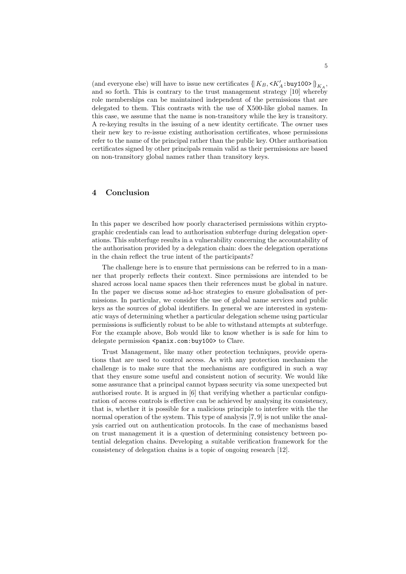(and everyone else) will have to issue new certificates  $\left\{\!\mid\!K_B,\!\!<\!\!K'_A\!:\!{\rm buy100>}\!\mid\!\}_{K_A},\right.$ and so forth. This is contrary to the trust management strategy [10] whereby role memberships can be maintained independent of the permissions that are delegated to them. This contrasts with the use of X500-like global names. In this case, we assume that the name is non-transitory while the key is transitory. A re-keying results in the issuing of a new identity certificate. The owner uses their new key to re-issue existing authorisation certificates, whose permissions refer to the name of the principal rather than the public key. Other authorisation certificates signed by other principals remain valid as their permissions are based on non-transitory global names rather than transitory keys.

## 4 Conclusion

In this paper we described how poorly characterised permissions within cryptographic credentials can lead to authorisation subterfuge during delegation operations. This subterfuge results in a vulnerability concerning the accountability of the authorisation provided by a delegation chain: does the delegation operations in the chain reflect the true intent of the participants?

The challenge here is to ensure that permissions can be referred to in a manner that properly reflects their context. Since permissions are intended to be shared across local name spaces then their references must be global in nature. In the paper we discuss some ad-hoc strategies to ensure globalisation of permissions. In particular, we consider the use of global name services and public keys as the sources of global identifiers. In general we are interested in systematic ways of determining whether a particular delegation scheme using particular permissions is sufficiently robust to be able to withstand attempts at subterfuge. For the example above, Bob would like to know whether is is safe for him to delegate permission  $\epsilon$ panix.com:buy100> to Clare.

Trust Management, like many other protection techniques, provide operations that are used to control access. As with any protection mechanism the challenge is to make sure that the mechanisms are configured in such a way that they ensure some useful and consistent notion of security. We would like some assurance that a principal cannot bypass security via some unexpected but authorised route. It is argued in [6] that verifying whether a particular configuration of access controls is effective can be achieved by analysing its consistency, that is, whether it is possible for a malicious principle to interfere with the the normal operation of the system. This type of analysis [7, 9] is not unlike the analysis carried out on authentication protocols. In the case of mechanisms based on trust management it is a question of determining consistency between potential delegation chains. Developing a suitable verification framework for the consistency of delegation chains is a topic of ongoing research [12].